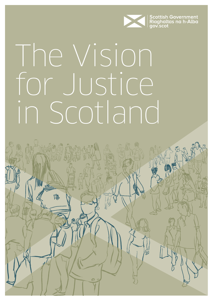

# The Vision for Justice in Scotland

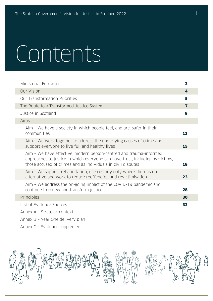# Contents

I

I

| Ministerial Foreword                                                                                                                                                                                                | 2  |
|---------------------------------------------------------------------------------------------------------------------------------------------------------------------------------------------------------------------|----|
| <b>Our Vision</b>                                                                                                                                                                                                   | 4  |
| <b>Our Transformation Priorities</b>                                                                                                                                                                                | 5  |
| The Route to a Transformed Justice System                                                                                                                                                                           | 7  |
| Justice in Scotland                                                                                                                                                                                                 | 8  |
| Aims:                                                                                                                                                                                                               |    |
| Aim - We have a society in which people feel, and are, safer in their<br>communities                                                                                                                                | 12 |
| Aim - We work together to address the underlying causes of crime and<br>support everyone to live full and healthy lives                                                                                             | 15 |
| Aim - We have effective, modern person-centred and trauma-informed<br>approaches to justice in which everyone can have trust, including as victims,<br>those accused of crimes and as individuals in civil disputes | 18 |
| Aim - We support rehabilitation, use custody only where there is no<br>alternative and work to reduce reoffending and revictimisation                                                                               | 23 |
| Aim - We address the on-going impact of the COVID-19 pandemic and<br>continue to renew and transform justice                                                                                                        | 28 |
| Principles                                                                                                                                                                                                          | 30 |
| List of Evidence Sources                                                                                                                                                                                            | 32 |
| Annex A - Strategic context                                                                                                                                                                                         |    |

- Annex B Year One delivery plan
- Annex C Evidence supplement

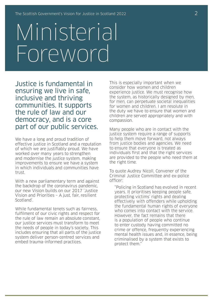## Ministerial Foreword

Justice is fundamental in ensuring we live in safe, inclusive and thriving communities. It supports the rule of law and our democracy, and is a core part of our public services.

We have a long and proud tradition of effective justice in Scotland and a reputation of which we are justifiably proud. We have worked over many years to strengthen and modernise the justice system, making improvements to ensure we have a system in which individuals and communities have trust.

With a new parliamentary term and against the backdrop of the coronavirus pandemic, our new Vision builds on our 2017 'Justice Vision and Priorities – A just, fair, resilient Scotland'.

While fundamental tenets such as fairness, fulfilment of our civic rights and respect for the rule of law remain an absolute constant, our justice services must transform to meet the needs of people in today's society. This includes ensuring that all parts of the justice system deliver person-centred services and embed trauma-informed practices.

This is especially important when we consider how women and children experience justice. We must recognise how the system, as historically designed by men, for men, can perpetuate societal inequalities for women and children. I am resolute in the duty we have to ensure that women and children are served appropriately and with compassion.

Many people who are in contact with the justice system require a range of supports to help them move forward, not always from justice bodies and agencies. We need to ensure that everyone is treated as individuals first and that the right services are provided to the people who need them at the right time.

To quote Audrey Nicoll, Convener of the Criminal Justice Committee and ex-police officer:

"Policing in Scotland has evolved in recent years. It prioritises keeping people safe, protecting victims' rights and dealing effectively with offenders while upholding the fundamental human rights of everyone who comes into contact with the service. However, the fact remains that there is a population of people who continue to enter custody having committed no crime or offence, frequently experiencing mental health issues and, in essence, being criminalised by a system that exists to protect them."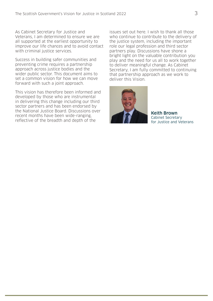As Cabinet Secretary for Justice and Veterans, I am determined to ensure we are all supported at the earliest opportunity to improve our life chances and to avoid contact with criminal justice services.

Success in building safer communities and preventing crime requires a partnership approach across justice bodies and the wider public sector. This document aims to set a common vision for how we can move forward with such a joint approach.

This vision has therefore been informed and developed by those who are instrumental in delivering this change including our third sector partners and has been endorsed by the National Justice Board. Discussions over recent months have been wide-ranging, reflective of the breadth and depth of the

issues set out here. I wish to thank all those who continue to contribute to the delivery of the justice system, including the important role our legal profession and third sector partners play. Discussions have shone a bright light on the valuable contribution you play and the need for us all to work together to deliver meaningful change. As Cabinet Secretary, I am fully committed to continuing that partnership approach as we work to deliver this Vision.



Keith Brown Cabinet Secretary for Justice and Veterans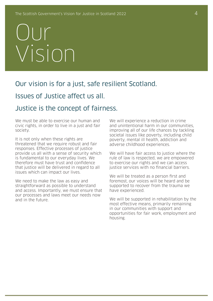## Our Vision

### Our vision is for a just, safe resilient Scotland.

### Issues of Justice affect us all.

### Justice is the concept of fairness.

We must be able to exercise our human and civic rights, in order to live in a just and fair society.

It is not only when these rights are threatened that we require robust and fair responses. Effective processes of justice provide us all with a sense of security which is fundamental to our everyday lives. We therefore must have trust and confidence that justice will be delivered in regard to all issues which can impact our lives.

We need to make the law as easy and straightforward as possible to understand and access. Importantly, we must ensure that our processes and laws meet our needs now and in the future.

We will experience a reduction in crime and unintentional harm in our communities, improving all of our life chances by tackling societal issues like poverty, including child poverty, mental ill health, addiction and adverse childhood experiences.

We will have fair access to justice where the rule of law is respected, we are empowered to exercise our rights and we can access justice services with no financial barriers.

We will be treated as a person first and foremost, our voices will be heard and be supported to recover from the trauma we have experienced.

We will be supported in rehabilitation by the most effective means, primarily remaining in our communities with support and opportunities for fair work, employment and housing.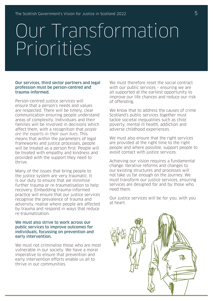### Our Transformation Priorities

#### Our services, third sector partners and legal profession must be person-centred and trauma-informed.

Person-centred justice services will ensure that a person's needs and values are respected. There will be timely, clear communication ensuring people understand areas of complexity. Individuals and their families will be involved in decisions which affect them, with a recognition that people are the experts in their own lives. This means that within the parameters of legal frameworks and justice processes, people will be treated as a person first. People will be treated with empathy and kindness and provided with the support they need to thrive.

Many of the issues that bring people to the justice system are very traumatic. It is our duty to ensure that we minimise further trauma or re-traumatisation to help recovery. Embedding trauma-informed practice will ensure that our justice services recognise the prevalence of trauma and adversity, realise where people are affected by trauma and respond in ways that reduce re-traumatisation.

#### We must also strive to work across our public services to improve outcomes for individuals, focussing on prevention and early intervention.

We must not criminalise those who are most vulnerable in our society. We have a moral imperative to ensure that prevention and early intervention efforts enable us all to thrive in our communities.

We must therefore reset the social contract with our public services – ensuring we are all supported at the earliest opportunity to improve our life chances and reduce our risk of offending.

We know that to address the causes of crime Scotland's public services together must tackle societal inequalities such as child poverty, mental ill health, addiction and adverse childhood experiences.

We must also ensure that the right services are provided at the right time to the right people and where possible, support people to avoid contact with justice services.

Achieving our vision requires a fundamental change. Iterative reforms and changes to our existing structures and processes will not take us far enough on the journey. We must transform our justice services, ensuring services are designed for and by those who need them.

Our justice services will be for you, with you at heart.

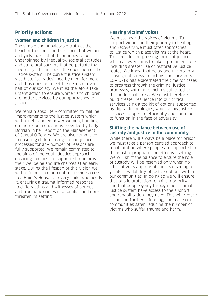#### **Priority actions:**

#### **Women and children in justice**

The simple and unpalatable truth at the heart of the abuse and violence that women and girls face is that it continues to be underpinned by inequality, societal attitudes and structural barriers that perpetuate that inequality. This includes the operation of the justice system. The current justice system was historically designed by men, for men, and thus does not meet the needs of over half of our society. We must therefore take urgent action to ensure women and children are better serviced by our approaches to justice.

We remain absolutely committed to making improvements to the justice system which will benefit and empower women, building on the recommendations provided by Lady Dorrian in her report on the Management of Sexual Offences. We are also committed to ensuring children caught up in justice processes for any number of reasons are fully supported. We remain committed to the aims of the Youth Justice approach ensuring families are supported to improve their wellbeing and life chances at an early stage. During the lifespan of this vision we will fulfil our commitment to provide access to a Bairn's Hoose for every child who needs it, ensuring a trauma-informed response to child victims and witnesses of serious and traumatic crimes in a familiar and nonthreatening setting.

#### **Hearing victims' voices**

We must hear the voices of victims. To support victims in their journey to healing and recovery we must offer approaches to justice which place victims at the heart. This includes progressing forms of justice which allow victims to take a prominent role including greater use of restorative justice routes. We know that delay and uncertainty cause great stress to victims and survivors. COVID-19 has exacerbated the time for cases to progress through the criminal justice processes, with more victims subjected to this additional stress. We must therefore build greater resilience into our critical services using a toolkit of options, supported by digital technologies, which allow justice services to operate efficiently and continue to function in the face of adversity.

#### **Shifting the balance between use of custody and justice in the community**

While there will always be a place for prison we must take a person-centred approach to rehabilitation where people are supported in the most appropriate and effective setting. We will shift the balance to ensure the role of custody will be reserved only when no alternative is appropriate, instead seeing a greater availability of justice options within our communities. In doing so we will ensure that public protection remains a priority and that people going through the criminal justice system have access to the support and rehabilitation they need. This will reduce crime and further offending, and make our communities safer, reducing the number of victims who suffer trauma and harm.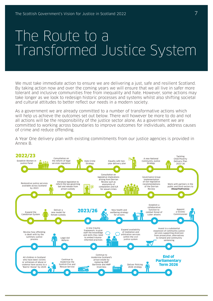### The Route to a Transformed Justice System

We must take immediate action to ensure we are delivering a just, safe and resilient Scotland. By taking action now and over the coming years we will ensure that we all live in safer more tolerant and inclusive communities free from inequality and hate. However, some actions may take longer as we look to redesign historic processes and systems whilst also shifting societal and cultural attitudes to better reflect our needs in a modern society.

As a government we are already committed to a number of transformative actions which will help us achieve the outcomes set out below. There will however be more to do and not all actions will be the responsibility of the justice sector alone. As a government we are committed to working across boundaries to improve outcomes for individuals, address causes of crime and reduce offending.

A Year One delivery plan with existing commitments from our justice agencies is provided in Annex B.

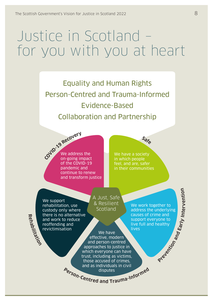### Justice in Scotland – for you with you at heart

Equality and Human Rights Person-Centred and Trauma-Informed Evidence-Based Collaboration and Partnership

**COV<sup>I</sup>D-1<sup>9</sup> <sup>R</sup>ecover<sup>y</sup>** We address the on-going impact of the COVID-19 pandemic and continue to renew and transform justice

We have a society in which people feel, and are, safer in their communities

**<sup>S</sup>af<sup>e</sup>**

**Rehabilitation** We support rehabilitation, use custody only where there is no alternative and work to reduce reoffending and revictimisation

A Just, Safe & Resilient Scotland

We have effective, modern and person-centred approaches to justice in which everyone can have trust, including as victims, those accused of crimes, and as individuals in civil

We work together to address the underlying causes of crime and support everyone to live full and healthy **Tives** 

**Prevention**

**Early In te r v e n tio n**

**and**

Person-Centred and Trauma-Informed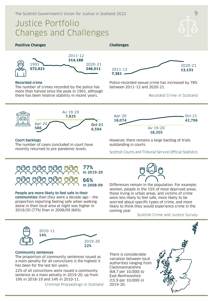### Justice Portfolio Changes and Challenges

Oct-21 **42,796**

#### **Positive Changes Challenges**



#### **Recorded crime**

The number of crimes recorded by the police has more than halved since the peak in 1991, although there has been relative stability in recent years.



Police-recorded sexual crime has increased by 78% between 2011-12 and 2020-21.

> Av 19-20 **18,355**

#### Recorded Crime in Scotland



#### **Court backlogs**

The number of cases concluded in court have recently returned to pre-pandemic levels.



#### **People are more likely to feel safe in their**

**communities** than they were a decade ago – the proportion reporting feeling safe when walking alone in their local area at night was higher in 2019/20 (77%) than in 2008/09 (66%).

Scottish Courts and Tribunal Service Official Statistics

However, there remains a large backlog of trials

outstanding in courts.

Apr-20 **18,074**



Differences remain in the population. For example, women, people in the 15% of most deprived areas, those living in urban areas, and victims of crime were less likely to feel safe, more likely to be worried about specific types of crime, and more likely to think they would experience crime in the coming year.

Scottish Crime and Justice Survey



#### **Community sentences**

The proportion of community sentences issued as a main penalty for all convictions is the highest it has been for the last ten years.

22% of all convictions were issued a community sentence as a main penalty in 2019-20, up from 19% in 2018-19 and 14% in 2010-11.

Criminal Proceedings in Scotland

There is considerable variation between local authorities ranging from Clackmannanshire (68.7 per 10,000) to East Renfrewshire (15.9 per 10,000) in 2019-20.

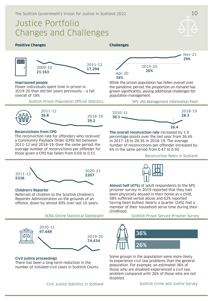### Justice Portfolio Changes and Challenges

#### **Positive Changes Challenges**



#### **Imprisoned people**

Fewer individuals spent time in prison in 2019-20 than did ten years previously – a fall overall of 18%.

Scottish Prison Population Official Statistics



#### **Reconvictions from CPO**

The reconviction rate for offenders who received a Community Payback Order (CPO) fell between 2011-12 and 2018-19. Over the same period, the average number of reconvictions per offender for those given a CPO has fallen from 0.69 to 0.51.



While the prison population has fallen overall over the pandemic period, the proportion on remand has grown significantly, posing additional challenges for population management.

SPS-JAS Management Information Feed



**The overall reconviction rate** increased by 1.9 percentage points over the last year from 26.4% in 2017-18 to 28.3% in 2018-19. The average number of reconvictions per offender increased by 6% in the same period from 0.47 to 0.50.

Reconviction Rates in Scotland





Referrals of children to the Scottish Children's Reporter Administration on the grounds of an offence, down by almost 60% over last 10 years.

**Almost half (47%)** of adult respondents to the SPS prisoner survey in 2019 reported that they had been physically abused in their home as a child, 58% suffered verbal abuse and 62% reported having been bullied. Nearly a quarter (24%) had a member of their household serve time during their childhood.

SCRA Online Statistical Dashboard

2019-20 **74,434** 2010-11 **97,449**

#### **Civil justice proceedings**

There has been a long-term reduction in the number of initiated civil cases in Scottish Courts.

Civil Justice Statistics in Scotland

Scottish Prison Service Prisoner Survey



Some groups in the population were more likely to experience civil law problems than the general population. For example, an estimated 36% of those who are disabled experienced a civil law problem compared with 26% of those who are not disabled.

Scottish Crime and Justice Survey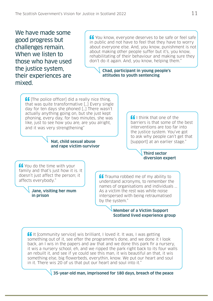We have made some good progress but challenges remain. When we listen to those who have used the justice system, their experiences are mixed.

**Let** You know, everyone deserves to be safe or feel safe in public and not have to feel that they have to worry about everyone else. And, you know, punishment is not about making other people suffer but it's, you know, rehabilitating of their behaviour and making sure they don't do it again. And, you know, helping them."

#### **Chad, participant in young people's attitudes to youth sentencing**

 $\int$   $\int$  The police officerl did a really nice thing. that was quite transformative […] Every single day for ten days she phoned […] There wasn't actually anything going on, but she just kept phoning, every day, for two minutes, she was like, just to see how you are, are you alright, and it was very strengthening"

#### **Nat, child sexual abuse and rape victim-survivor**

 $\blacksquare$ I think that one of the barriers is that some of the best interventions are too far into the justice system. You've got to ask why people can't get that [support] at an earlier stage."

#### **Third sector diversion expert**

**ff** You do the time with your family and that's just how it is. It doesn't just affect the person; it affects everybody."

> **Jane, visiting her mum in prison**

 $\blacksquare$  Trauma robbed me of my ability to understand acronyms, to remember the names of organisations and individuals ... As a victim the rest was white noise interspersed with being retraumatised by the system."

#### **Member of a Victim Support Scotland lived experience group**

 $\blacksquare$ It [community service] wis brilliant. I loved it. It was, I was getting something out of it, see efter the programme's done, and we done it I look back, an I wis in the papers and aw that and we done this park fir a nursery, it wis a nursery school, eh, and we ripped the park right back to its four walls an rebuilt it, and see if ye could see this man, it wis beautiful an that, it wis something else, big flowerbeds, everythin, know. We put our heart and soul in it. There wis 20 of us that put our heart and soul into it."

**35-year-old man, imprisoned for 180 days, breach of the peace**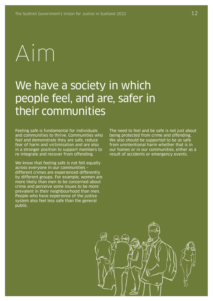# Aim

### We have a society in which people feel, and are, safer in their communities

Feeling safe is fundamental for individuals and communities to thrive. Communities who feel and demonstrate they are safe, reduce fear of harm and victimisation and are also in a stronger position to support members to re-integrate and recover from offending.

We know that feeling safe is not felt equally across everyone in our communities – different crimes are experienced differently by different groups. For example, women are more likely than men to be concerned about crime and perceive some issues to be more prevalent in their neighbourhood than men. People who have experience of the justice system also feel less safe than the general public.

The need to feel and be safe is not just about being protected from crime and offending. We also should be supported to be as safe from unintentional harm whether that is in our homes or in our communities, either as a result of accidents or emergency events.

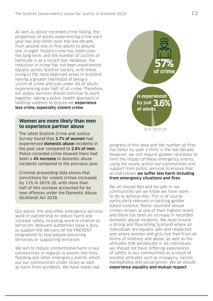As well as police-recorded crime falling, the proportion of adults experiencing crime each year has also fallen over the last decade, from around one-in-five adults to around one in eight. Violent crime has fallen over the long term, and the number of victims of homicide is at a record low. However, the reduction in crime has not been experienced equally across Scottish society, with those living in the most deprived areas in Scotland having a greater likelihood of being a victim of crime and just under 4% of adults experiencing over half of all crime. Therefore, our public services should continue to work together, taking a public health approach in tackling violence to ensure we **experience less crime, especially violent crime**.

#### **Women are more likely than men to experience partner abuse**

The latest Scottish Crime and Justice Survey found that **3.7% of women** had experienced **domestic abuse** incidents in the past year compared to **2.6% of men**. Police-recorded crime showed there had been a **4% increase** in domestic abuse incidents compared to the previous year.

Criminal proceeding data shows that convictions for violent crimes increased by 11% in 2019-20, with more than half of this increase accounted for by new offences under the Domestic Abuse (Scotland) Act 2018.

Our police, fire and other emergency services work in partnership to reduce harm and increase safety including work in relation to terrorism. Relevant authorities have a duty to support the delivery of the PREVENT programme to stop people becoming terrorists or supporting terrorism.

We aim to reduce unintentional harm in our communities in regards to events like fires, flooding and other emergency events which put our communities under strain as well as harm from accidents. We have made real



progress in this area and the number of fires has fallen by over a third in the last decade. However, we still require greater resilience to limit the impact of these emergency events, using the assets within our communities and support from public services to ensure that as individuals **we suffer less harm including from emergency situations and fires**.

We all should feel and be safe in our communities yet we know we have work to do to achieve this. This is of course particularly relevant in tackling gender based violence. Police-recorded sexual crimes remain at one of their highest levels and there has been an increase in recorded domestic abuse incidents. We must ensure a strong and flourishing Scotland where all individuals are equally safe and respected, and where women and girls live free from all forms of violence and abuse, as well as the attitudes that perpetuate it. As individuals we should not have differing experiences of safety in our communities as a result of societal attitudes such as misogyny, racism, homophobia and sectarianism. We all should **experience equality and mutual respect**.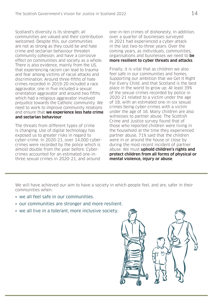Scotland's diversity is its strength; all communities are valued and their contribution welcomed. Despite this, our communities are not as strong as they could be and hate crime and sectarian behaviour threaten community cohesion, and have a corrosive effect on communities and society as a whole. There is also evidence, mainly from the US, that experiencing racism can lead to trauma and fear among victims of racial attacks and discrimination. Around three-fifths of hate crimes recorded in 2019-20 included a race aggravator, one in five included a sexual orientation aggravator and around two fifths which had a religious aggravator involved prejudice towards the Catholic community. We need to work to improve community relations and ensure that **we experience less hate crime and sectarian behaviour**.

The threats from different types of crime is changing. Use of digital technology has exposed us to greater risks in regard to cyber-crime. In 2020-21, over 14,000 cybercrimes were recorded by the police which is almost double from the year before. Cybercrimes accounted for an estimated one-inthree sexual crimes in 2020-21, and around

one-in-ten crimes of dishonesty. In addition, over a quarter of businesses surveyed in 2021 had experienced a cyber-attack in the last two-to-three years. Over the coming years, as individuals, communities, organisations and businesses we need to **be more resilient to cyber threats and attacks**.

Finally, it is vital that as children we also feel safe in our communities and homes. Supporting our ambition that we Get It Right For Every Child, and that Scotland is the best place in the world to grow up. At least 39% of the sexual crimes recorded by police in 2020-21 related to a victim under the age of 18, with an estimated one-in-six sexual crimes being cyber-crimes with a victim under the age of 16. Many children are also witnesses to partner abuse. The Scottish Crime and Justice survey found that of those who reported children were living in the household at the time they experienced partner abuse, 71% said that the children were in or around the house or close by during the most recent incident of partner abuse. We must **uphold children's rights and protect children from all forms of physical or mental violence, injury or abuse**.

We will have achieved our aim to have a society in which people feel, and are, safer in their communities when:

- we all feel safe in our communities.
- our communities are stronger and more resilient.
- we all live in a tolerant, more inclusive society.

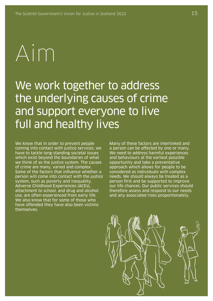# Aim

### We work together to address the underlying causes of crime and support everyone to live full and healthy lives

We know that in order to prevent people coming into contact with justice services, we have to tackle long-standing societal issues which exist beyond the boundaries of what we think of as the justice system. The causes of crime are many, varied and complex. Some of the factors that influence whether a person will come into contact with the justice system, such as poverty and inequality, Adverse Childhood Experiences (ACEs), attachment to school, and drug and alcohol use, are often experienced from early life. We also know that for some of those who have offended they have also been victims themselves.

Many of these factors are interlinked and a person can be affected by one or many. We need to address harmful experiences and behaviours at the earliest possible opportunity and take a preventative approach which allows for people to be considered as individuals with complex needs. We should always be treated as a person first and be supported to improve our life chances. Our public services should therefore assess and respond to our needs and any associated risks proportionately.

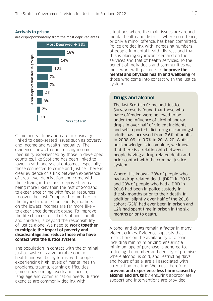#### **Arrivals to prison**

are disproportionately from the most deprived areas



Crime and victimisation are intrinsically linked to deep-seated issues such as poverty and income and wealth inequality. The evidence shows that increasing income inequality experienced by those in developed countries, like Scotland has been linked to lower health and social outcomes, especially those connected to crime and justice. There is clear evidence of a link between experience of area-level deprivation and crime with those living in the most deprived areas being more likely than the rest of Scotland to experience crime with fewer resources to cover the cost. Compared to mothers in the highest-income households, mothers on the lowest incomes are far more likely to experience domestic abuse. To improve the life chances for all of Scotland's adults and children, is beyond the responsibility of justice alone. We need to **work together to mitigate the impact of poverty and disadvantage and reduce those who have contact with the justice system**.

The population in contact with the criminal justice system is a vulnerable one in health and wellbeing terms, with people experiencing high levels of mental health problems, trauma, learning difficulties (sometimes undiagnosed) and speech, language and communication needs. Justice agencies are commonly dealing with

situations where the main issues are around mental health and distress, where no offence, or only a minor offence, has been committed. Police are dealing with increasing numbers of people in mental health distress and that this is placing significant demand on their services and that of health services. To the benefit of individuals and communities we must work with partners to **improve the mental and physical health and wellbeing** of those who come into contact with the justice system.

#### **Drugs and alcohol**

The last Scottish Crime and Justice Survey results found that those who have offended were believed to be under the influence of alcohol and/or drugs in over half of violent incidents and self-reported illicit drug use amongst adults has increased from 7.6% of adults in 2008-09, to 9.7% in 2018-20. Whilst our knowledge is incomplete, we know that there is a relationship between people having a drug-related death and prior contact with the criminal justice system.

Where it is known, 33% of people who had a drug-related death (DRD) in 2015 and 28% of people who had a DRD in 2016 had been in police custody in the six months prior to their death. In addition, slightly over half of the 2016 cohort (53%) had ever been in prison and 12% had spent time in prison in the six months prior to death.

Alcohol and drugs remain a factor in many violent crimes. Evidence suggests that restrictions on the availability of alcohol, including minimum pricing, ensuring a minimum age of purchase is adhered to, reducing the number and density of premises where alcohol is sold, and restricting days and hours of sale, are all associated with a reduction in crime. We must therefore **prevent and experience less harm caused by alcohol and drugs** by ensuring appropriate support and interventions are provided.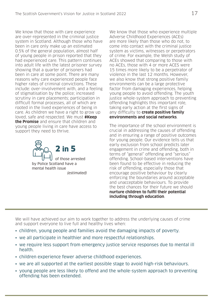We know that those with care experience are over-represented in the criminal justice system in Scotland. Although those who have been in care only make up an estimated 0.5% of the general population, almost half of young people in prison reported that they had experienced care. This pattern continues into adult life with the latest prisoner survey showing that a quarter of prisoners had been in care at some point. There are many reasons why care experienced people face higher rates of criminal convictions. These include: over-involvement with, and a feeling of stigmatisation by the police; increased scrutiny in care placements; participation in difficult formal processes, all of which are rooted in the lived experiences of being in care. As children we have a right to grow up loved, safe and respected. We must **#Keep the Promise** and ensure that children and young people living in care have access to support they need to thrive.



We know that those who experience multiple Adverse Childhood Experiences (ACEs) are more likely than those who do not, to come into contact with the criminal justice system as victims, witnesses or perpetrators of crime. For example, the Welsh study of ACEs showed that comparing to those with no ACEs, those with 4 or more ACES were 15 times more likely to be a perpetrator of violence in the last 12 months. However, we also know that strong positive family environments can be a large protective factor from damaging experiences, helping young people to avoid offending. The youth justice whole-system approach to preventing offending highlights this important role, taking early action at the first signs of any difficulty to **create positive family environments and social networks**.

The importance of the school environment is crucial in addressing the causes of offending and in ensuring a range of positive outcomes for young people. Our evidence tells us that early exclusion from school predicts later engagement in crime and offending, both in terms of "general" offending and "serious" offending. School-based interventions have been found to be effective in reducing the risk of offending, especially those that encourage positive behaviour by clearly enforcing the boundaries around acceptable and unacceptable behaviours. To provide the best chances for their future we should **nurture children to fulfil their potential including through education**.

We will have achieved our aim to work together to address the underlying causes of crime and support everyone to live full and healthy lives when:

- children, young people and families avoid the damaging impacts of poverty.
- we all participate in healthier and more respectful relationships.
- we require less support from emergency justice service responses due to mental ill health.
- children experience fewer adverse childhood experiences.
- we are all supported at the earliest possible stage to avoid high-risk behaviours.
- young people are less likely to offend and the whole-system approach to preventing offending has been extended.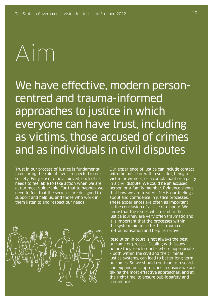# Aim

We have effective, modern personcentred and trauma-informed approaches to justice in which everyone can have trust, including as victims, those accused of crimes and as individuals in civil disputes

Trust in our process of justice is fundamental in ensuring the rule of law is respected in our society. For justice to be achieved, each of us needs to feel able to take action when we are at our most vulnerable. For that to happen, we need to feel that the services are designed to support and help us, and those who work in them listen to and respect our needs.



Our experience of justice can include contact with the police or with a solicitor, being a victim or witness, or a complainant or a party in a civil dispute. We could be an accused person or a family member. Evidence shows that how we are treated affects our feelings about and confidence in justice processes. These experiences are often as important as the conclusion of a case or dispute. We know that the issues which lead to the justice journey are very often traumatic and it is important that the processes within the system minimise further trauma or re-traumatisation and help us recover.

Resolution in court is not always the best outcome or process. Dealing with issues before they reach court – where appropriate – both within the civil and the criminal justice systems, can lead to better long-term outcomes. So we should continue to research and expand our approaches to ensure we are taking the most effective approaches, and at the right time, to ensure public safety and confidence.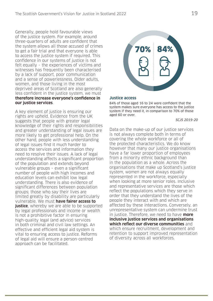Generally, people hold favourable views of the justice system. For example, around three-quarters of adults are confident that the system allows all those accused of crimes to get a fair trial and that everyone is able to access the justice system if required. This confidence in our systems of justice is not felt equally – the experiences of victims and witnesses has frequently been characterised by a lack of support, poor communication and a sense of powerlessness. Older adults, women, and those living in the most deprived areas of Scotland are also generally less confident in the justice system, we must **therefore increase everyone's confidence in our justice services**.

A key element of justice is ensuring our rights are upheld. Evidence from the UK suggests that people with greater legal knowledge of their rights and responsibilities and greater understanding of legal issues are more likely to get professional help. On the other hand, people with less understanding of legal issues find it much harder to access the services and information they need to resolve their issues. A lack of legal understanding affects a significant proportion of the population and extends beyond vulnerable groups – even a significant number of people with high incomes and education levels can exhibit low legal understanding. There is also evidence of significant differences between population groups; those who say their lives are limited greatly by disability are particularly vulnerable. We must **have fairer access to justice**, whereby we are able to be supported by legal professionals and income or wealth is not a prohibitive factor in ensuring high-quality legal (and advice) services in both criminal and civil law settings. An effective and efficient legal aid system is vital to ensuring access to justice. Reforms of legal aid will ensure a person-centred approach can be facilitated.



#### **Justice access**

84% of those aged 16 to 24 were confident that the system makes sure everyone has access to the justice system if they need it, in comparison to 70% of those aged 60 or over.

#### SCJS 2019-20

Data on the make-up of our justice services is not always complete both in terms of covering the whole workforce or all of the protected characteristics. We do know however that many our justice organisations have a far lower proportion of employees from a minority ethnic background than in the population as a whole. Across the organisations that make up Scotland's justice system, women are not always equally represented in the workforce, especially when looking at more senior roles. Inclusive and representative services are those which reflect the populations which they serve in order that they understand the lives of the people they interact with and which are affected by these interactions. Conversely, an unrepresentative system can undermine trust in justice. Therefore, we need to have **more inclusive justice services and organisations which reflect our diverse communities** and which ensure recruitment, development and retention to support improved representation of diversity across all workforces.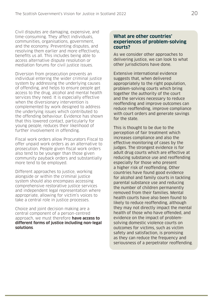Civil disputes are damaging, expensive, and time-consuming. They affect individuals, communities, organisations, government, and the economy. Preventing disputes, and resolving them earlier and more effectively, benefits us all. This includes being able to access alternative dispute resolution or mediation forums for civil justice issues.

Diversion from prosecution prevents an individual entering the wider criminal justice system by addressing the underlying causes of offending, and helps to ensure people get access to the drug, alcohol and mental health services they need. It is especially effective when the diversionary intervention is complemented by work designed to address the underlying issues which contributed to the offending behaviour. Evidence has shown that this lowered contact, particularly for young people, reduces their likelihood of further involvement in offending.

Fiscal work orders allow Procurators Fiscal to offer unpaid work orders as an alternative to prosecution. People given fiscal work orders also tend to be younger than those given community payback orders and substantially more tend to be employed.

Different approaches to justice, working alongside or within the criminal justice system should also encompass accessing comprehensive restorative justice services and independent legal representation where appropriate, allowing for victim's voices to take a central role in justice processes.

Choice and joint decision making are a central component of a person-centred approach, we must therefore **have access to different forms of justice including non-legal solutions**.

#### **What are other countries' experiences of problem-solving courts?**

As we consider other approaches to delivering justice, we can look to what other jurisdictions have done.

Extensive international evidence suggests that, when delivered appropriately to the right population, problem-solving courts which bring together the authority of the court and the services necessary to reduce reoffending and improve outcomes can reduce reoffending, improve compliance with court orders and generate savings for the state.

This is thought to be due to the perception of fair treatment which increases compliance and also the effective monitoring of cases by the judges. The strongest evidence is for adult drug courts which are effective at reducing substance use and reoffending especially for those who present a higher risk of reoffending. Other countries have found good evidence for alcohol and family courts in tackling parental substance use and reducing the number of children permanently removed from their families. Mental health courts have also been found to likely to reduce reoffending, although they may not directly impact the mental health of those who have offended, and evidence on the impact of problemsolving domestic violence courts on outcomes for victims, such as victim safety and satisfaction, is promising as they can reduce the frequency and seriousness of a perpetrator reoffending.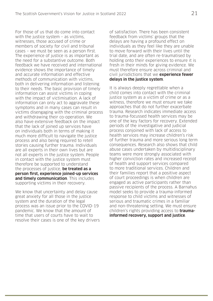For those of us that do come into contact with the justice system – as victims, witnesses, those accused of crime or members of society for civil and tribunal cases – we must be seen as a person first. The experience of justice is as important as the need for a substantive outcome. Both feedback we have received and international evidence shows the importance of timely and accurate information and effective methods of communication with victims, both in delivering information and listening to their needs. The basic provision of timely information can assist victims in coping with the impact of victimisation. A lack of information can only act to aggravate these symptoms and in many cases can result in victims disengaging with the criminal process and withdrawing their co-operation. We also have extensive feedback on the impact that the lack of joined up services have on individuals both in terms of making it much more difficult to navigate the justice process and also being required to retell stories causing further trauma. Individuals are all experts in their own lives but are not all experts in the justice system. People in contact with the justice system must therefore be supported to understand the processes of justice, **be treated as a person first, experience joined-up services and timely communication**. This includes supporting victims in their recovery.

We know that uncertainty and delay cause great anxiety for all those in the justice system and the duration of the legal process was an issue prior to the COVID-19 pandemic. We know that the amount of time that users of courts have to wait to resolve their cases is one of the key drivers of satisfaction. There has been consistent feedback from victims' groups that the delays are having a profound effect on individuals as they feel like they are unable to move forward with their lives until the trial date, and are often re-traumatised by holding onto their experiences to ensure it is fresh in their minds for giving evidence. We must therefore ensure across criminal and civil jurisdictions that we **experience fewer delays in the justice system**.

It is always deeply regrettable when a child comes into contact with the criminal justice system as a victim of crime or as a witness, therefore we must ensure we take approaches that do not further exacerbate trauma. Research indicates immediate access to trauma-focussed health services may be one of the key factors for recovery. Extended periods of the investigative and judicial process conjoined with lack of access to health services may increase children's risk of further trauma and more serious long term consequences. Research also shows that child abuse cases undertaken by multidisciplinary teams were more strongly associated with higher conviction rates and increased receipt of health and support services compared to more traditional services. Children and their families report that a positive aspect of court proceedings is when children are engaged as active participants rather than passive recipients of the process. A Barnahus model seeks to provide a trauma-informed response to child victims and witnesses of serious and traumatic crimes in a familiar and non-threatening setting. We must ensure children's rights providing access to **traumainformed recovery, support and justice**.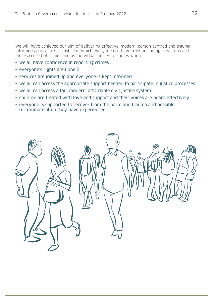We will have achieved our aim of delivering effective, modern, person-centred and traumainformed approaches to justice in which everyone can have trust, including as victims and those accused of crimes and as individuals in civil disputes when:

- we all have confidence in reporting crimes.
- everyone's rights are upheld.
- services are joined up and everyone is kept informed.
- we all can access the appropriate support needed to participate in justice processes.
- we all can access a fair, modern, affordable civil justice system.
- children are treated with love and support and their voices are heard effectively.
- everyone is supported to recover from the harm and trauma and possible re-traumatisation they have experienced.

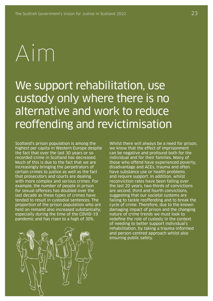# Aim

### We support rehabilitation, use custody only where there is no alternative and work to reduce reoffending and revictimisation

Scotland's prison population is among the highest per capita in Western Europe despite the fact that over the last 30 years or so recorded crime in Scotland has decreased. Much of this is due to the fact that we are increasingly bringing the perpetrators of certain crimes to justice as well as the fact that prosecutors and courts are dealing with more complex and serious crimes. For example, the number of people in prison for sexual offences has doubled over the last decade as these types of crimes have tended to result in custodial sentences. The proportion of the prison population who are held on remand also increased substantially, especially during the time of the COVID-19 pandemic and has risen to a high of 30%.



Whilst there will always be a need for prison, we know that the effect of imprisonment can be negative and profound both for the individual and for their families. Many of those who offend have experienced poverty, disadvantage and ACEs, trauma and often have substance use or health problems and require support. In addition, whilst reconviction rates have been falling over the last 20 years, two-thirds of convictions are second, third and fourth convictions, suggesting that our societal systems are failing to tackle reoffending and to break the cycle of crime. Therefore, due to the known damaging impact of prison and the changing nature of crime trends we must look to redefine the role of custody in the context of needing to better support individual's rehabilitation, by taking a trauma-informed and person-centred approach whilst also ensuring public safety.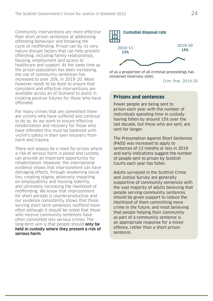Community interventions are more effective than short prison sentences at addressing offending behaviour and breaking the cycle of reoffending. Prison can by its very nature disrupt factors that can help prevent offending, including family relationships, housing, employment and access to healthcare and support. At the same time as the prison population has been increasing, the use of community sentences has increased to over 20%, in 2019-20. More however needs to be done to ensure that consistent and effective interventions are available across all of Scotland to assist in creating positive futures for those who have offended.

For many crimes that are committed there are victims who have suffered and continue to do so. As we work to ensure effective rehabilitation and recovery for those who have offended this must be balanced with victim's safety in their own recovery from harm and trauma.

There will always be a need for prison where a risk of serious harm is posed and custody can provide an important opportunity for rehabilitation. However, the international evidence shows that imprisonment can have damaging effects, through weakening social ties, creating stigma, adversely impacting on employability and housing stability, and ultimately increasing the likelihood of reoffending. We know that imprisonment for short periods is counterproductive and our evidence consistently shows that those serving short term sentences reoffend more often although it should be noted that those who receive community sentences have often committed less serious crimes. The long-term aim is that people should **only be held in custody where they present a risk of serious harm**.



of as a proportion of all criminal proceedings has remained relatively static.

Crim. Proc. 2019-20

#### **Prisons and sentences**

Fewer people are being sent to prison each year with the number of individuals spending time in custody having fallen by around 15% over the last decade, but those who are sent, are sent for longer.

The Presumption Against Short Sentences (PASS) was increased to apply to sentences of 12 months or less in 2019 and early indications suggest the number of people sent to prison by Scottish Courts each year has fallen.

Adults surveyed in the Scottish Crime and Justice Survey are generally supportive of community sentences with the vast majority of adults believing that people serving community sentences should be given support to reduce the likelihood of them committing more crime in the future, and most believing that people helping their community as part of a community sentence is an appropriate response for a minor offence, rather than a short prison sentence.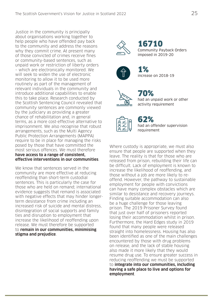Justice in the community is principally about organisations working together to help people who have offended pay back to the community and address the reasons why they commit crime. At present many of those convicted of crimes receive fines or community-based sentences, such as unpaid work or restriction of liberty orders – which are electronically monitored. We will seek to widen the use of electronic monitoring to allow it to be used more routinely as part of the management of relevant individuals in the community and introduce additional capabilities to enable this to take place. Research conducted by the Scottish Sentencing Council revealed that community sentences are commonly viewed by the judiciary as providing a greater chance of rehabilitation and, in general terms, as a more cost-effective alternative to imprisonment. We also recognise that robust arrangements, such as the Multi Agency Public Protection Arrangements (MAPPA) require to be in place for managing the risks posed by those that have committed the most serious offences. We must therefore **have access to a range of consistent, effective interventions in our communities**.

We know that sentences served in the community are more effective at reducing reoffending than short-term custodial sentences. This is particularly the case for those who are held on remand; international evidence suggests that remand is associated with negative effects that may hinder longerterm desistance from crime including an increased risk of suicide and mental distress, disintegration of social supports and family ties and disruption to employment that increase the likelihood of reoffending upon release. We must therefore be supported to **remain in our communities, minimising stigma and prejudice**.



16710 Community Payback Orders imposed in 2019-20



1% increase on 2018-19



70% had an unpaid work or other activity requirement



62% had an offender supervision requirement

Where custody is appropriate, we must also ensure that people are supported when they leave. The reality is that for those who are released from prison, rebuilding their life can be difficult. Lack of employment is known to increase the likelihood of reoffending, and those without a job are more likely to reoffend. However, the pathway to sustainable employment for people with convictions can have many complex obstacles which are similar to desistance and recovery journeys. Finding suitable accommodation can also be a huge challenge for those leaving prison. The 2019 Prisoner Survey found that just over half of prisoners reported losing their accommodation whilst in prison. Furthermore, the Hard Edges study in 2019 found that many people were released straight into homelessness. Housing has also been identified as one of the main challenges encountered by those with drug problems on release, and the lack of stable housing also made it more likely that they would resume drug use. To ensure greater success in reducing reoffending we must be supported to **integrate into our communities, including having a safe place to live and options for employment**.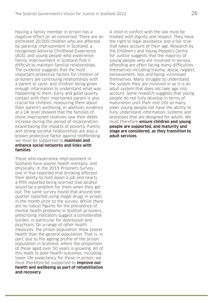Having a family member in prison has a negative effect on all concerned. There are an estimated 20,000 children who are affected by parental imprisonment in Scotland, a recognised Adverse Childhood Experience (ACE), and young people who experience family imprisonment in Scotland find it difficult to maintain familial relationships. The evidence suggests that the most important protective factors for children of prisoners are continuing relationships with a parent or carer, and children being given enough information to understand what was happening to them. Early and good-quality contact with their imprisoned parent is also crucial for children, reassuring them about their parent's wellbeing. In addition, evidence at a UK level showed that the families of those imprisoned relatives saw their debts increase during the period of incarceration, exacerbating the impacts of poverty. Family and strong societal relationships are also a known protective factor against reoffending we must be supported to **maintain and enhance social networks and links with families**.

Those who experience imprisonment in Scotland have poorer health mentally, and physically. In the 2019 Prisoners Survey, one in five reported that drinking affected their ability to hold down a job and nearly a fifth reported being worried that alcohol would be a problem for them when they get out. The same survey found that around one quarter reported using illegal drugs in prison in the month prior to the survey. Whilst there are no robust figures for the prevalence of mental health problems in Scottish prisoners, prescribing indicators suggest a considerable burden, in particular for depression and psychosis. On a range of other health measures, the prison population show poorer health than the general population. That is, in part, due to the ageing profile of the prison population in Scotland, where the proportion of those aged over 50 years is growing. All of this leads to poor health outcomes, including lower life expectancy for those in prison, we must therefore be supported to **improve our health and wellbeing as part of rehabilitation and recovery**.

A child in conflict with the law must be treated with dignity and respect. They have the right to legal assistance and a fair trial that takes account of their age. Research by the Children's and Young People's Centre for Justice suggests that the majority of young people who are involved in serious offending are often facing many difficulties themselves including trauma, abuse, neglect, bereavement, loss and being victimised themselves. Many struggle to understand the system they are involved in as it is an adult system that does not take age into account. Some research suggests that young people do not fully develop in terms of maturation until their mid-20s so many older young people not have the ability to fully understand information, systems and processes that are designed for adults. We must therefore **ensure children and young people are supported, and maturity and stage are considered, as they transition to adult services**.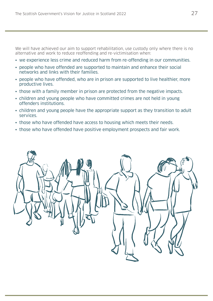We will have achieved our aim to support rehabilitation, use custody only where there is no alternative and work to reduce reoffending and re-victimisation when:

- we experience less crime and reduced harm from re-offending in our communities.
- people who have offended are supported to maintain and enhance their social networks and links with their families.
- people who have offended, who are in prison are supported to live healthier, more productive lives.
- those with a family member in prison are protected from the negative impacts.
- children and young people who have committed crimes are not held in young offenders institutions.
- children and young people have the appropriate support as they transition to adult services.
- those who have offended have access to housing which meets their needs.
- those who have offended have positive employment prospects and fair work.

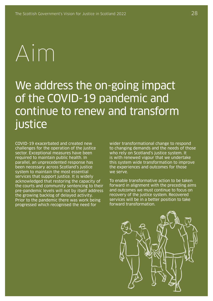# Aim

We address the on-going impact of the COVID-19 pandemic and continue to renew and transform justice

COVID-19 exacerbated and created new challenges for the operation of the justice sector. Exceptional measures have been required to maintain public health. In parallel, an unprecedented response has been necessary across Scotland's justice system to maintain the most essential services that support justice. It is widely acknowledged that restoring the capacity of the courts and community sentencing to their pre-pandemic levels will not by itself address the growing backlog of delayed activity. Prior to the pandemic there was work being progressed which recognised the need for

wider transformational change to respond to changing demands and the needs of those who rely on Scotland's justice system. It is with renewed vigour that we undertake this system wide transformation to improve the experiences and outcomes for those we serve.

To enable transformative action to be taken forward in alignment with the preceding aims and outcomes we must continue to focus on recovery of the justice system. Recovered services will be in a better position to take forward transformation.

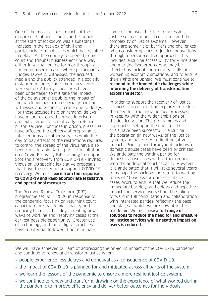One of the most serious impacts of the closure of Scotland's courts and tribunals at the start of lockdown was a substantial increase in the backlog of civil and particularly criminal cases which has resulted in delays. As the country re-opened, some court and tribunal business got underway either in virtual, online form or through a limited number of cases where participants (judges, lawyers, witnesses, the accused, media and the public) attended in a socially distanced manner, and remote jury centres were set up. Although measures have been undertaken to mitigate the impact of the delays on the public, the impact of the pandemic has been especially hard on witnesses and victims of crime due to delays. For those accused held on remand, delays have meant extended periods in prison and extra strains on an already stretched prison service. For those in prison, pressures have affected the delivery of programmes, interventions and other services while the day to day effects of the restrictions required to control the spread of the virus have also been considerable. A full public consultation on a Covid Recovery Bill – aiming to support Scotland's recovery from COVID-19 – invited views on 30 specific legislative proposals that have the potential to support COVID-19 recovery. We must **learn from the response to COVID-19 and keep appropriate legislative and operational measures**.

The Recover, Renew, Transform (RRT) programme set up in 2020 in response to the pandemic, focusing on returning court capacity to pre-pandemic capacity and reducing historical backlogs, creating new ways of working and resolving cases at the earliest possible opportunity. Greater use of technology and more digital practices have a potential to lower, if not eliminate,

some of the usual barriers to accessing justice such as financial cost, time and the complexity of justice systems. However, there are some risks, barriers and challenges when considering current justice innovations through a person-centred approach. This includes, ensuring accessibility for vulnerable and marginalised groups, who may be affected by lack of connectivity, skills or worsening economic situations; and to ensure their rights are upheld. We must continue to **respond to the immediate challenges while informing the delivery of transformation across the sector**.

In order to support the recovery of justice services action should be explored to reduce the need for traditional justice processes, in keeping with the wider ambitions of the Justice Vision. The programmes and approaches set up in the midst of the crisis have been successful in ensuring the operation (in new ways) of the justice system, and have tried to limit negative impacts. Prior to and throughout lockdown, domestic abuse cases have been prioritised. We anticipate the waiting period for domestic abuse cases will further reduce with the additional court capacity. However, it is anticipated that it will take several years to manage the backlog and return to waiting times of 10 weeks for domestic abuse cases. Work to ensure that we reduce the immediate backlogs and delays and negative impacts on service users should be taken forward in full consultation and collaboration with interested parties, reflecting the pace and stage at which we are now at in the pandemic. We must **use a full range of solutions to reduce the need for and pressure on, justice services while negative impact on users is reduced**.

We will have achieved our aim of addressing the on-going impact of the COVID-19 pandemic and continue to renew and transform justice when:

- people experience less delays and upheaval as a consequence of COVID-19.
- the impact of COVID-19 is planned for and mitigated across all parts of the system.
- we learn the lessons of the pandemic to ensure a more resilient justice system.
- we continue to renew and transform, drawing on the experience of what worked during the pandemic to improve efficiency and deliver better outcomes for individuals.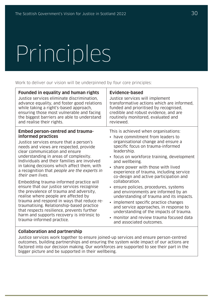# Principles

Work to deliver our vision will be underpinned by four core principles:

| <b>Founded in equality and human rights</b>  | <b>Evidence-based</b>                      |
|----------------------------------------------|--------------------------------------------|
| Justice services eliminate discrimination,   | Justice services will implement            |
| advance equality, and foster good relations  | transformative actions which are informed, |
| while taking a right's-based approach,       | funded and prioritised by recognised,      |
| ensuring those most vulnerable and facing    | credible and robust evidence, and are      |
| the biggest barriers are able to understand  | routinely monitored, evaluated and         |
| and realise their rights.                    | reviewed.                                  |
| <b>Embed person-centred and trauma-</b>      | This is achieved when organisations:       |
| informed practices                           | • have commitment from leaders to          |
| Justice services ensure that a person's      | organisational change and ensure a         |
| needs and views are respected, provide       | specific focus on trauma-informed          |
| clear communication and ensure               | leadership.                                |
| understanding in areas of complexity.        | • focus on workforce training, development |
| Individuals and their families are involved  | and wellbeing.                             |
| in taking decisions which affect them, with  | • share power with those with lived        |
| a recognition that people are the experts in | experience of trauma, including service    |
| their own lives.                             | co-design and active participation and     |
| Embedding trauma-informed practice will      | collaboration.                             |
| ensure that our justice services recognise   | · ensure policies, procedures, systems     |
| the prevalence of trauma and adversity,      | and environments are informed by an        |
| realise where people are affected by         | understanding of trauma and its impacts.   |
| trauma and respond in ways that reduce re-   | • implement specific practice changes      |
| traumatising. Relationship-based practice    | and service approaches, in response to     |
| that respects resilience, prevents further   | understanding of the impacts of trauma.    |
| harm and supports recovery is intrinsic to   | monitor and review trauma focused data     |
| trauma-informed practice.                    | and associated outcomes.                   |

#### **Collaboration and partnership**

Justice services work together to ensure joined-up services and ensure person-centred outcomes, building partnerships and ensuring the system wide impact of our actions are factored into our decision making. Our workforces are supported to see their part in the bigger picture and be supported in their wellbeing.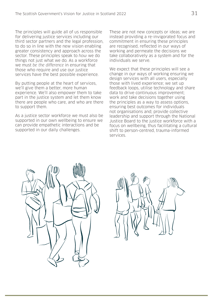The principles will guide all of us responsible for delivering justice services including our third sector partners and the legal profession, to do so in line with the new vision enabling greater consistency and approach across the sector. These principles speak to how we do things not just what we do. As a workforce we must be the difference in ensuring that those who require and use our justice services have the best possible experience.

By putting people at the heart of services, we'll give them a better, more human experience. We'll also empower them to take part in the justice system and let them know there are people who care, and who are there to support them.

As a justice sector workforce we must also be supported in our own wellbeing to ensure we can provide empathetic interactions and be supported in our daily challenges.

These are not new concepts or ideas; we are instead providing a re-invigorated focus and commitment in ensuring these principles are recognised, reflected in our ways of working and permeate the decisions we take collaboratively as a system and for the individuals we serve.

We expect that these principles will see a change in our ways of working ensuring we design services with all users, especially those with lived experience; we set up feedback loops, utilise technology and share data to drive continuous improvement; work and take decisions together using the principles as a way to assess options, ensuring best outcomes for individuals not organisations and; provide collective leadership and support through the National Justice Board to the justice workforce with a focus on wellbeing, thus facilitating a cultural shift to person-centred, trauma-informed services.



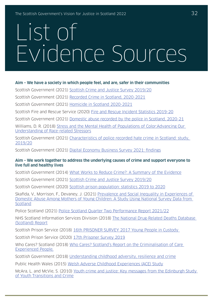## List of Evidence Sources

#### **Aim – We have a society in which people feel, and are, safer in their communities**

Scottish Government (2021) [Scottish Crime and Justice Survey 2019/20](https://www.gov.scot/publications/scottish-crime-justice-survey-2019-20-main-findings/)

Scottish Government (2021) [Recorded Crime in Scotland, 2020-2021](https://www.gov.scot/publications/recorded-crime-scotland-2020-2021/pages/1/)

Scottish Government (2021) [Homicide in Scotland 2020-2021](https://www.gov.scot/publications/homicide-scotland-2020-2021/pages/4/#:~:text=The%20number%20of%20homicide%20cases,21%20from%2065%20to%2055.&text=The%20decrease%20of%2010%20cases,%2D13%20(Chart%201).)

Scottish Fire and Rescue Service (2020) [Fire and Rescue Incident Statistics 2019-20](https://www.firescotland.gov.uk/media/1144151/fs_officialstatistics_2019_20.pdf)

Scottish Government (2021) [Domestic abuse recorded by the police in Scotland, 2020-21](https://www.gov.scot/publications/domestic-abuse-recorded-police-scotland-2020-21/)

Williams, D. R. (2018) [Stress and the Mental Health of Populations of Color:Advancing Our](https://www.ncbi.nlm.nih.gov/pmc/articles/PMC6532404/)  [Understanding of Race-related Stressors](https://www.ncbi.nlm.nih.gov/pmc/articles/PMC6532404/)

Scottish Government (2021) [Characteristics of police recorded hate crime in Scotland: study](https://www.gov.scot/publications/study-characteristics-police-recorded-hate-crime-scotland/), 2019/20

Scottish Government (2021) [Digital Economy Business Survey 2021: findings](https://www.gov.scot/publications/digital-economy-business-survey-2021/)

#### **Aim – We work together to address the underlying causes of crime and support everyone to live full and healthy lives**

Scottish Government (2014) [What Works to Reduce Crime?: A Summary of the Evidence](https://www.gov.scot/publications/works-reduce-crime-summary-evidence/)

Scottish Government (2021) [Scottish Crime and Justice Survey 2019/20](https://www.gov.scot/publications/scottish-crime-justice-survey-2019-20-main-findings/)

Scottish Government (2020) [Scottish prison population: statistics 2019 to 2020](https://www.gov.scot/publications/scottish-prison-population-statistics-2019-20/pages/5/#:~:text=3.3%20Deprivation&text=The%2010%25%20most%20deprived%20areas,static%20over%20the%20past%20decade.)

Skafida, V., Morrison, F., Devaney, J. (2021) [Prevalence and Social Inequality in Experiences of](https://journals.sagepub.com/doi/full/10.1177/0886260520980392)  [Domestic Abuse Among Mothers of Young Children: A Study Using National Survey Data from](https://journals.sagepub.com/doi/full/10.1177/0886260520980392)  [Scotland](https://journals.sagepub.com/doi/full/10.1177/0886260520980392)

Police Scotland (2021) [Police Scotland Quarter Two Performance Report 2021/22](https://www.scotland.police.uk/spa-media/oifbto5z/q2-performance-report-ppc.pdf)

NHS Scotland Information Services Division (2018) [The National Drug-Related Deaths Database](https://www.isdscotland.org/Health-Topics/Drugs-and-Alcohol-Misuse/Publications/2018-06-12/2018-06-12-NDRDD-Report.pdf)  [\(Scotland\) Report](https://www.isdscotland.org/Health-Topics/Drugs-and-Alcohol-Misuse/Publications/2018-06-12/2018-06-12-NDRDD-Report.pdf)

Scottish Prison Service (2018) [16th PRISONER SURVEY 2017 Young People in Custody](https://www.sps.gov.uk/Corporate/Publications/Publication-6075.aspx) 

Scottish Prison Service (2020) [17th Prisoner Survey 2019](http://www.sps.gov.uk/Corporate/Publications/Publication-7196.aspx)

Who Cares? Scotland (2018) [Who Cares? Scotland's Report on the Criminalisation of Care](https://www.whocaresscotland.org/wp-content/uploads/2018/05/WCS-Report-on-the-Criminalisation-of-Care-Experience-April-2018.pdf)  [Experienced People,](https://www.whocaresscotland.org/wp-content/uploads/2018/05/WCS-Report-on-the-Criminalisation-of-Care-Experience-April-2018.pdf)

Scottish Government (2018) [Understanding childhood adversity, resilience and crime](https://www.gov.scot/publications/understanding-childhood-adversity-resilience-crime/)

Public Health Wales (2015) [Welsh Adverse Childhood Experiences \(ACE\) Study](https://www2.nphs.wales.nhs.uk/PRIDDocs.nsf/7c21215d6d0c613e80256f490030c05a/d488a3852491bc1d80257f370038919e/$FILE/ACE%20Report%20FINAL%20(E).pdf)

McAra, L. and McVie, S. (2010) [Youth crime and justice: Key messages from the Edinburgh Study](https://journals.sagepub.com/doi/10.1177/1748895809360971) [of Youth Transitions and Crime](https://journals.sagepub.com/doi/10.1177/1748895809360971)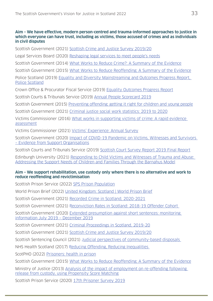#### **Aim – We have effective, modern person-centred and trauma-informed approaches to justice in which everyone can have trust, including as victims, those accused of crimes and as individuals in civil disputes**

Scottish Government (2021) [Scottish Crime and Justice Survey 2019/20](https://www.gov.scot/publications/scottish-crime-justice-survey-2019-20-main-findings)

Legal Services Board (2020) [Reshaping legal services to meet people's needs](https://legalservicesboard.org.uk/wp-content/uploads/2020/02/PLE-Reshaping-Legal-Services.pdf)

Scottish Government (2014) [What Works to Reduce Crime?: A Summary of the Evidence](https://www.gov.scot/publications/works-reduce-crime-summary-evidence/pages/2/)

Scottish Government (2015) [What Works to Reduce Reoffending: A Summary of the Evidence](https://www.gov.scot/publications/works-reduce-reoffending-summary-evidence/pages/1/)

Police Scotland (2019) [Equality and Diversity Mainstreaming and Outcomes Progress Report,](https://www.scotland.police.uk/spa-media/tvejlerm/mainstreaming-report-2017-2019.pdf?view=Standard)  [Police Scotland](https://www.scotland.police.uk/spa-media/tvejlerm/mainstreaming-report-2017-2019.pdf?view=Standard)

Crown Office & Procurator Fiscal Service (2019) [Equality Outcomes Progress Report](https://www.copfs.gov.uk/images/2019-COPFS-Mainstreaming-Equality-Update-Report-v1-0.pdf)

Scottish Courts & Tribunals Service (2019) [Annual People Scorecard 2019](https://www.scotcourts.gov.uk/docs/default-source/aboutscs/reports-and-data/people_scorecard-2018-19.pdf?sfvrsn=2)

Scottish Government (2015) [Preventing offending: getting it right for children and young people](https://www.gov.scot/publications/preventing-offending-getting-right-children-young-people/pages/1/)

Scottish Government (2021) [Criminal justice social work statistics: 2019 to 2020](https://www.gov.scot/publications/criminal-justice-social-work-statistics-scotland-2019-20/pages/1/)

Victims Commissioner (2016) [What works in supporting victims of crime: A rapid evidence](https://victimscommissioner.org.uk/document/what-works-in-supporting-victims-of-crime-a-rapid-evidence-assessment/) [assessment](https://victimscommissioner.org.uk/document/what-works-in-supporting-victims-of-crime-a-rapid-evidence-assessment/)

Victims Commissioner (2021) [Victims' Experience: Annual Survey](https://s3-eu-west-2.amazonaws.com/jotwpublic-prod-storage-1cxo1dnrmkg14/uploads/sites/6/2021/12/VC-2021-survey-of-victims-_amended-27_9_21-1.pdf)

Scottish Government (2020) [Impact of COVID-19 Pandemic on Victims, Witnesses and Survivors](https://www.gov.scot/binaries/content/documents/govscot/publications/minutes/2020/06/victims-taskforce-papers-june-2020/documents/paper-1-victims-voices-evidence-paper-on-impact-of-covid-19/paper-1-victims-voices-evidence-paper-on-impact-of-covid-19/govscot%3Adocument/AMENDED%2BAND%2BFINALISED%2BVERSION%2BJune%2B2020%2B-%2BVT%2BPaper%2Bfor%2B10.06.20%2BEvidence%2Bfrom%2BVSOs.pdf)  [– Evidence from Support Organisations](https://www.gov.scot/binaries/content/documents/govscot/publications/minutes/2020/06/victims-taskforce-papers-june-2020/documents/paper-1-victims-voices-evidence-paper-on-impact-of-covid-19/paper-1-victims-voices-evidence-paper-on-impact-of-covid-19/govscot%3Adocument/AMENDED%2BAND%2BFINALISED%2BVERSION%2BJune%2B2020%2B-%2BVT%2BPaper%2Bfor%2B10.06.20%2BEvidence%2Bfrom%2BVSOs.pdf)

Scottish Courts and Tribunals Service (2019) [Scottish Court Survey Report 2019 Final Report](https://www.scotcourts.gov.uk/docs/default-source/aboutscs/reports-and-data/scottish-court-survey-report-2019-final-report.pdf?sfvrsn=2)

Edinburgh University (2021) [Responding to Child Victims and Witnesses of Trauma and Abuse:](https://www.healthcareimprovementscotland.org/idoc.ashx?docid=99bb4281-6199-486d-ba29-e096aff5672b&version=-1)  [Addressing the Support Needs of Children and Families Through the Barnahus Model](https://www.healthcareimprovementscotland.org/idoc.ashx?docid=99bb4281-6199-486d-ba29-e096aff5672b&version=-1)

#### **Aim – We support rehabilitation, use custody only where there is no alternative and work to reduce reoffending and revictimisation**

Scottish Prison Service (2022) [SPS Prison Population](https://www.sps.gov.uk/Corporate/Information/SPSPopulation.aspx)

World Prison Brief (2022) [United Kingdom: Scotland | World Prison Brief](https://www.prisonstudies.org/country/united-kingdom-scotland)

Scottish Government (2021) [Recorded Crime in Scotland, 2020-2021](https://www.gov.scot/publications/recorded-crime-scotland-2020-2021/pages/1/)

Scottish Government (2021) [Reconviction Rates in Scotland: 2018-19 Offender Cohort](https://www.gov.scot/publications/reconviction-rates-scotland-2018-19-offender-cohort/)

Scottish Government (2020) [Extended presumption against short sentences: monitoring](https://www.gov.scot/publications/extended-presumption-against-short-sentences-monitoring-information-july-2019-december-2019/)  [information July 2019 – December 2019](https://www.gov.scot/publications/extended-presumption-against-short-sentences-monitoring-information-july-2019-december-2019/)

Scottish Government (2021) [Criminal Proceedings in Scotland, 2019-20](https://www.gov.scot/publications/criminal-proceedings-scotland-2019-20/pages/29/)

Scottish Government (2021) [Scottish Crime and Justice Survey 2019/20](https://www.gov.scot/publications/scottish-crime-justice-survey-2019-20-main-findings/)

Scottish Sentencing Council (2021) [Judicial perspectives of community-based disposals](https://www.scottishsentencingcouncil.org.uk/media/2165/20211028-judicial-perspectives-of-community-based-disposals-ssc-issues-paper.pdf)

NHS Health Scotland (2017) [Reducing Offending, Reducing Inequalities](http://www.healthscotland.scot/media/1528/reducing-offending-reducing-inequalities_aug2017_english.pdf)

ScotPHO (2022) [Prisoners: health in prison](https://www.scotpho.org.uk/population-groups/prisoners/data/prisoner-health/)

Scottish Government (2015) [What Works to Reduce Reoffending: A Summary of the Evidence](https://www.gov.scot/publications/works-reduce-reoffending-summary-evidence/#:~:text=Restorative%20and%20reparative%20practices%2C%20such%20as%20unpaid%20work,make%20amends%20to%20victims%20of%20crime%20and%20communities.)

Ministry of Justice (2013) [Analysis of the impact of employment on re-offending following](https://assets.publishing.service.gov.uk/government/uploads/system/uploads/attachment_data/file/217412/impact-employment-reoffending.pdf)  [release from custody, using Propensity Score Matching](https://assets.publishing.service.gov.uk/government/uploads/system/uploads/attachment_data/file/217412/impact-employment-reoffending.pdf)

Scottish Prison Service (2020) [17th Prisoner Survey 2019](http://www.sps.gov.uk/Corporate/Publications/Publication-7196.aspx)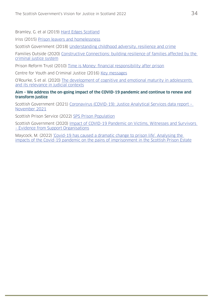Bramley, G. et al (2019) [Hard Edges Scotland](https://lankellychase.org.uk/wp-content/uploads/2019/06/Hard-Edges-Scotland-full-report-June-2019.pdf)

Iriss (2015) [Prison leavers and homelessness](https://www.iriss.org.uk/resources/insights/prison-leavers-and-homelessness)

Scottish Government (2018) [Understanding childhood adversity, resilience and crime](https://www.gov.scot/publications/understanding-childhood-adversity-resilience-crime/)

Families Outside (2020) [Constructive Connections: building resilience of families affected by the](https://www.familiesoutside.org.uk/content/uploads/2020/04/Constructive-Connections-Final-Report-2020-FOR-PRINT.pdf)  [criminal justice system](https://www.familiesoutside.org.uk/content/uploads/2020/04/Constructive-Connections-Final-Report-2020-FOR-PRINT.pdf)

Prison Reform Trust (2010) [Time is Money: financial responsibility after prison](http://www.prisonreformtrust.org.uk/Portals/0/Documents/Time%20is%20Money_8a_Layout%201.pdf)

Centre for Youth and Criminal Justice (2016) [Key messages](https://cycj.org.uk/wp-content/uploads/2016/12/CYCJ-Key-Messages.pdf)

O'Rourke, S et al. (2020) [The development of cognitive and emotional maturity in adolescents](https://www.scottishsentencingcouncil.org.uk/media/2044/20200219-ssc-cognitive-maturity-literature-review.pdf)  [and its relevance in judicial contexts](https://www.scottishsentencingcouncil.org.uk/media/2044/20200219-ssc-cognitive-maturity-literature-review.pdf)

#### **Aim – We address the on-going impact of the COVID-19 pandemic and continue to renew and transform justice**

Scottish Government (2021) [Coronavirus \(COVID-19\): Justice Analytical Services data report –](https://www.gov.scot/publications/coronavirus-covid-19-justice-analytical-services-data-report-november-2021/pages/6/)  [November 2021](https://www.gov.scot/publications/coronavirus-covid-19-justice-analytical-services-data-report-november-2021/pages/6/)

Scottish Prison Service (2022) [SPS Prison Population](https://www.sps.gov.uk/Corporate/Information/SPSPopulation.aspx)

Scottish Government (2020) [Impact of COVID-19 Pandemic on Victims, Witnesses and Survivors](https://www.gov.scot/binaries/content/documents/govscot/publications/minutes/2020/06/victims-taskforce-papers-june-2020/documents/paper-1-victims-voices-evidence-paper-on-impact-of-covid-19/paper-1-victims-voices-evidence-paper-on-impact-of-covid-19/govscot%3Adocument/AMENDED%2BAND%2BFINALISED%2BVERSION%2BJune%2B2020%2B-%2BVT%2BPaper%2Bfor%2B10.06.20%2BEvidence%2Bfrom%2BVSOs.pdf)  [– Evidence from Support Organisations](https://www.gov.scot/binaries/content/documents/govscot/publications/minutes/2020/06/victims-taskforce-papers-june-2020/documents/paper-1-victims-voices-evidence-paper-on-impact-of-covid-19/paper-1-victims-voices-evidence-paper-on-impact-of-covid-19/govscot%3Adocument/AMENDED%2BAND%2BFINALISED%2BVERSION%2BJune%2B2020%2B-%2BVT%2BPaper%2Bfor%2B10.06.20%2BEvidence%2Bfrom%2BVSOs.pdf)

Maycock, M. (2022) ['Covid-19 has caused a dramatic change to prison life'. Analysing the](https://doi.org/10.1093/bjc/azab031)  [impacts of the Covid-19 pandemic on the pains of imprisonment in the Scottish Prison Estate](https://doi.org/10.1093/bjc/azab031)